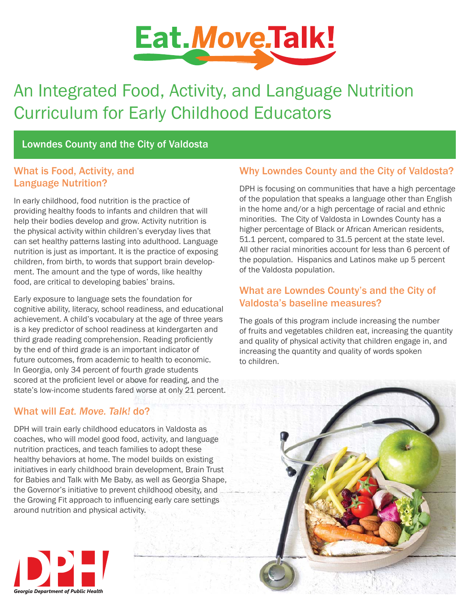

# An Integrated Food, Activity, and Language Nutrition Curriculum for Early Childhood Educators

Lowndes County and the City of Valdosta

### What is Food, Activity, and Language Nutrition?

In early childhood, food nutrition is the practice of providing healthy foods to infants and children that will help their bodies develop and grow. Activity nutrition is the physical activity within children's everyday lives that can set healthy patterns lasting into adulthood. Language nutrition is just as important. It is the practice of exposing children, from birth, to words that support brain development. The amount and the type of words, like healthy food, are critical to developing babies' brains.

Early exposure to language sets the foundation for cognitive ability, literacy, school readiness, and educational achievement. A child's vocabulary at the age of three years is a key predictor of school readiness at kindergarten and third grade reading comprehension. Reading proficiently by the end of third grade is an important indicator of future outcomes, from academic to health to economic. In Georgia, only 34 percent of fourth grade students scored at the proficient level or above for reading, and the state's low-income students fared worse at only 21 percent.

## What will *Eat. Move. Talk!* do?

DPH will train early childhood educators in Valdosta as coaches, who will model good food, activity, and language nutrition practices, and teach families to adopt these healthy behaviors at home. The model builds on existing initiatives in early childhood brain development, Brain Trust for Babies and Talk with Me Baby, as well as Georgia Shape, the Governor's initiative to prevent childhood obesity, and the Growing Fit approach to influencing early care settings around nutrition and physical activity.



DPH is focusing on communities that have a high percentage of the population that speaks a language other than English in the home and/or a high percentage of racial and ethnic minorities. The City of Valdosta in Lowndes County has a higher percentage of Black or African American residents, 51.1 percent, compared to 31.5 percent at the state level. All other racial minorities account for less than 6 percent of the population. Hispanics and Latinos make up 5 percent of the Valdosta population.

## What are Lowndes County's and the City of Valdosta's baseline measures?

The goals of this program include increasing the number of fruits and vegetables children eat, increasing the quantity and quality of physical activity that children engage in, and increasing the quantity and quality of words spoken to children.